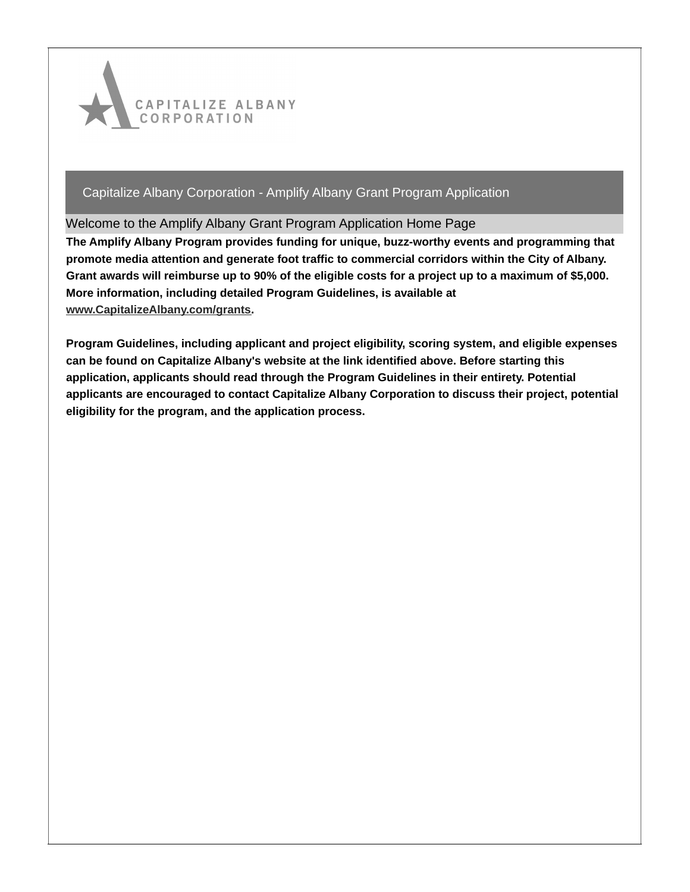

### Welcome to the Amplify Albany Grant Program Application Home Page

**The Amplify Albany Program provides funding for unique, buzz-worthy events and programming that promote media attention and generate foot traffic to commercial corridors within the City of Albany.** Grant awards will reimburse up to 90% of the eligible costs for a project up to a maximum of \$5,000. **More information, including detailed Program Guidelines, is available at [www.CapitalizeAlbany.com/grants](http://www.capitalizealbany.com/grants).**

**Program Guidelines, including applicant and project eligibility, scoring system, and eligible expenses can be found on Capitalize Albany's website at the link identified above. Before starting this application, applicants should read through the Program Guidelines in their entirety. Potential applicants are encouraged to contact Capitalize Albany Corporation to discuss their project, potential eligibility for the program, and the application process.**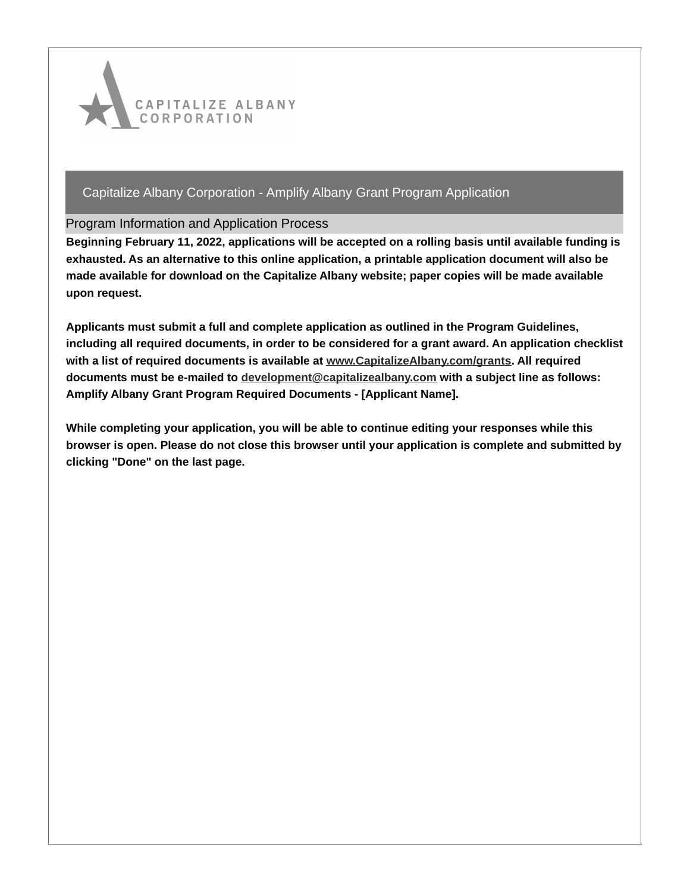

### Program Information and Application Process

**Beginning February 11, 2022, applications will be accepted on a rolling basis until available funding is exhausted. As an alternative to this online application, a printable application document will also be made available for download on the Capitalize Albany website; paper copies will be made available upon request.**

**Applicants must submit a full and complete application as outlined in the Program Guidelines, including all required documents, in order to be considered for a grant award. An application checklist with a list of required documents is available at [www.CapitalizeAlbany.com/grants](http://www.capitalizealbany.com/grants). All required documents must be e-mailed to [development@capitalizealbany.com](mailto:development@capitalizealbany.com) with a subject line as follows: Amplify Albany Grant Program Required Documents - [Applicant Name].**

**While completing your application, you will be able to continue editing your responses while this browser is open. Please do not close this browser until your application is complete and submitted by clicking "Done" on the last page.**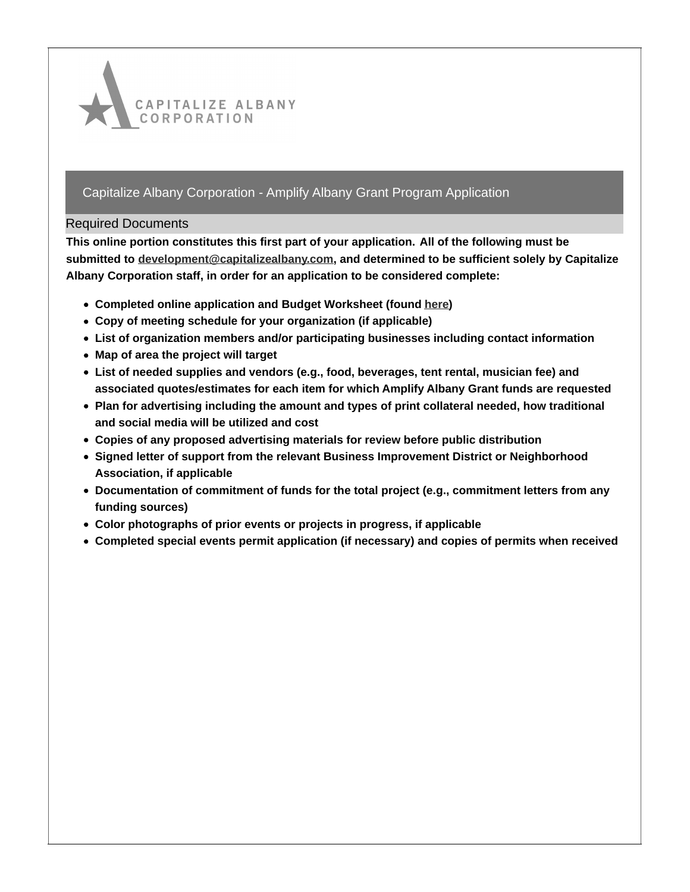

### Required Documents

**This online portion constitutes this first part of your application. All of the following must be submitted to [development@capitalizealbany.com](mailto:development@capitalizealbany.com), and determined to be sufficient solely by Capitalize Albany Corporation staff, in order for an application to be considered complete:**

- **Completed online application and Budget Worksheet (found [here](http://www.capitalizealbany.com/grants))**
- **Copy of meeting schedule for your organization (if applicable)**
- **List of organization members and/or participating businesses including contact information**
- **Map of area the project will target**
- **List of needed supplies and vendors (e.g., food, beverages, tent rental, musician fee) and associated quotes/estimates for each item for which Amplify Albany Grant funds are requested**
- **Plan for advertising including the amount and types of print collateral needed, how traditional and social media will be utilized and cost**
- **Copies of any proposed advertising materials for review before public distribution**
- **Signed letter of support from the relevant Business Improvement District or Neighborhood Association, if applicable**
- **Documentation of commitment of funds for the total project (e.g., commitment letters from any funding sources)**
- **Color photographs of prior events or projects in progress, if applicable**
- **Completed special events permit application (if necessary) and copies of permits when received**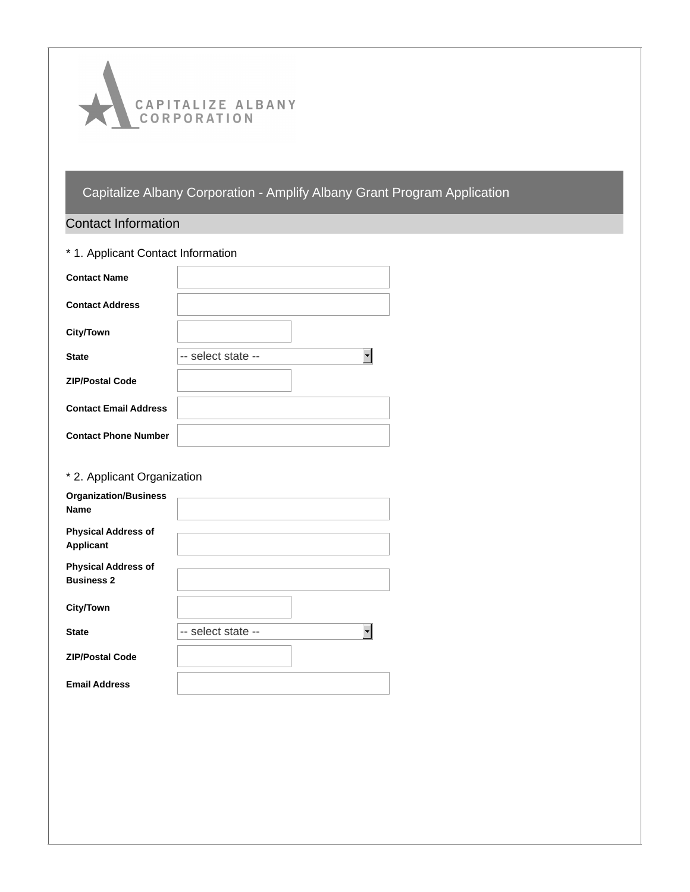

# Contact Information

| * 1. Applicant Contact Information |                    |  |  |  |
|------------------------------------|--------------------|--|--|--|
| <b>Contact Name</b>                |                    |  |  |  |
| <b>Contact Address</b>             |                    |  |  |  |
| <b>City/Town</b>                   |                    |  |  |  |
| <b>State</b>                       | -- select state -- |  |  |  |
| <b>ZIP/Postal Code</b>             |                    |  |  |  |
| <b>Contact Email Address</b>       |                    |  |  |  |
| <b>Contact Phone Number</b>        |                    |  |  |  |

# \* 2. Applicant Organization

| <b>Organization/Business</b><br><b>Name</b>     |                    |
|-------------------------------------------------|--------------------|
| <b>Physical Address of</b><br><b>Applicant</b>  |                    |
| <b>Physical Address of</b><br><b>Business 2</b> |                    |
| <b>City/Town</b>                                |                    |
| <b>State</b>                                    | -- select state -- |
| <b>ZIP/Postal Code</b>                          |                    |
| <b>Email Address</b>                            |                    |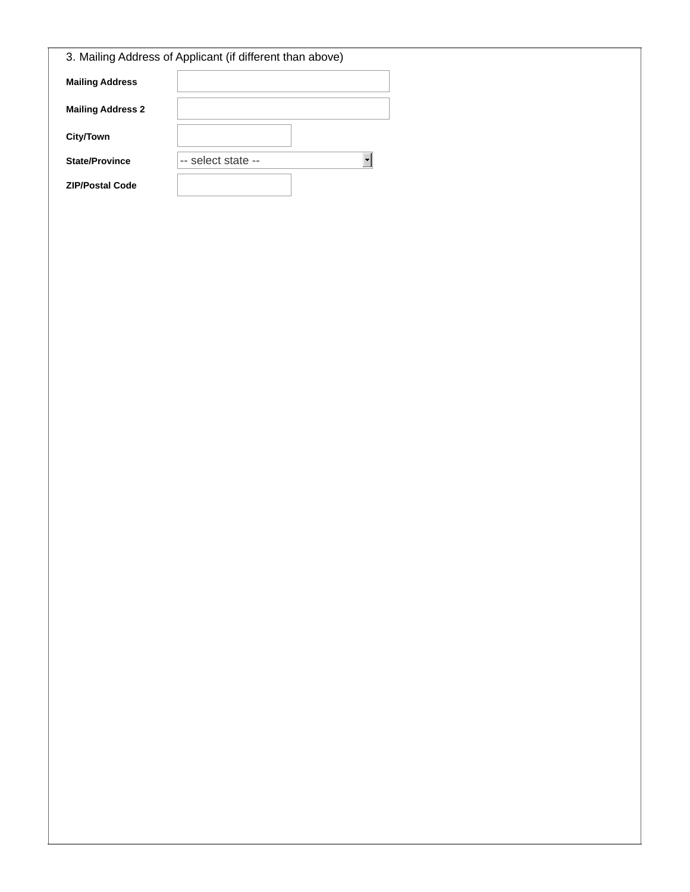| 3. Mailing Address of Applicant (if different than above) |                    |  |  |  |
|-----------------------------------------------------------|--------------------|--|--|--|
| <b>Mailing Address</b>                                    |                    |  |  |  |
| <b>Mailing Address 2</b>                                  |                    |  |  |  |
| City/Town                                                 |                    |  |  |  |
| <b>State/Province</b>                                     | -- select state -- |  |  |  |
| <b>ZIP/Postal Code</b>                                    |                    |  |  |  |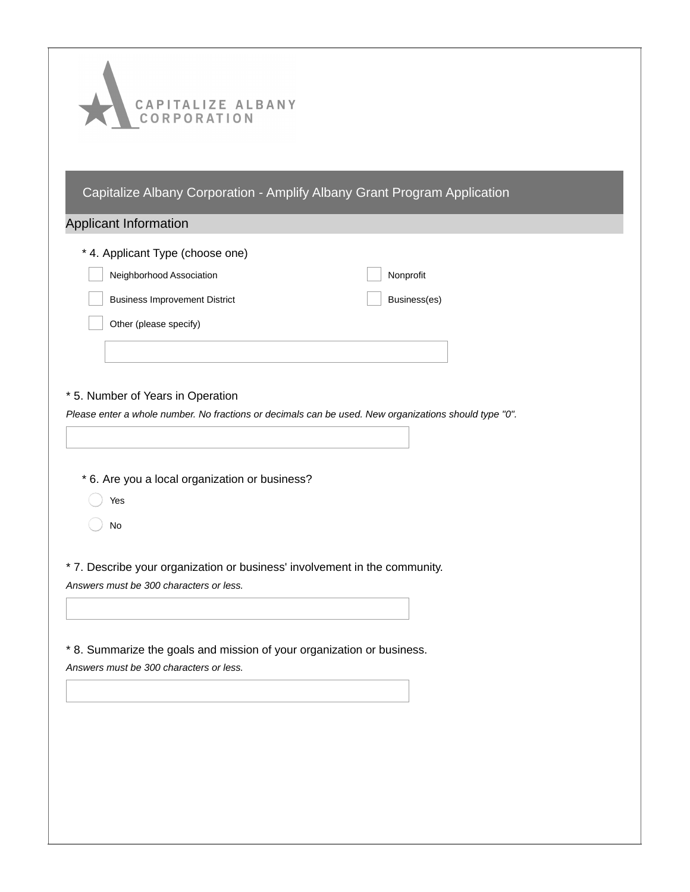| CAPITALIZE ALBANY<br>CORPORATION                                                                                  |                                                                          |  |  |
|-------------------------------------------------------------------------------------------------------------------|--------------------------------------------------------------------------|--|--|
|                                                                                                                   | Capitalize Albany Corporation - Amplify Albany Grant Program Application |  |  |
| Applicant Information                                                                                             |                                                                          |  |  |
| * 4. Applicant Type (choose one)                                                                                  |                                                                          |  |  |
| Neighborhood Association                                                                                          | Nonprofit                                                                |  |  |
| <b>Business Improvement District</b>                                                                              | Business(es)                                                             |  |  |
| Other (please specify)                                                                                            |                                                                          |  |  |
|                                                                                                                   |                                                                          |  |  |
|                                                                                                                   |                                                                          |  |  |
| * 5. Number of Years in Operation                                                                                 |                                                                          |  |  |
| Please enter a whole number. No fractions or decimals can be used. New organizations should type "0".             |                                                                          |  |  |
|                                                                                                                   |                                                                          |  |  |
| * 6. Are you a local organization or business?                                                                    |                                                                          |  |  |
| Yes                                                                                                               |                                                                          |  |  |
| No                                                                                                                |                                                                          |  |  |
|                                                                                                                   |                                                                          |  |  |
| * 7. Describe your organization or business' involvement in the community.                                        |                                                                          |  |  |
| Answers must be 300 characters or less.                                                                           |                                                                          |  |  |
|                                                                                                                   |                                                                          |  |  |
| * 8. Summarize the goals and mission of your organization or business.<br>Answers must be 300 characters or less. |                                                                          |  |  |
|                                                                                                                   |                                                                          |  |  |
|                                                                                                                   |                                                                          |  |  |
|                                                                                                                   |                                                                          |  |  |
|                                                                                                                   |                                                                          |  |  |
|                                                                                                                   |                                                                          |  |  |
|                                                                                                                   |                                                                          |  |  |
|                                                                                                                   |                                                                          |  |  |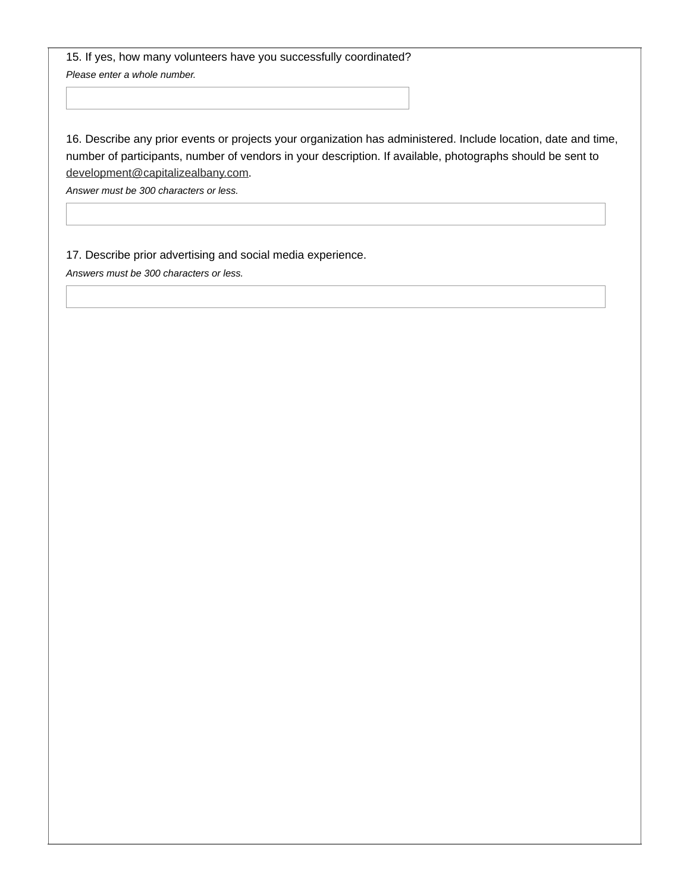15. If yes, how many volunteers have you successfully coordinated? *Please enter a whole number.*

16. Describe any prior events or projects your organization has administered. Include location, date and time, number of participants, number of vendors in your description. If available, photographs should be sent to [development@capitalizealbany.com](mailto:development@capitalizealbany.com).

*Answer must be 300 characters or less.*

17. Describe prior advertising and social media experience.

*Answers must be 300 characters or less.*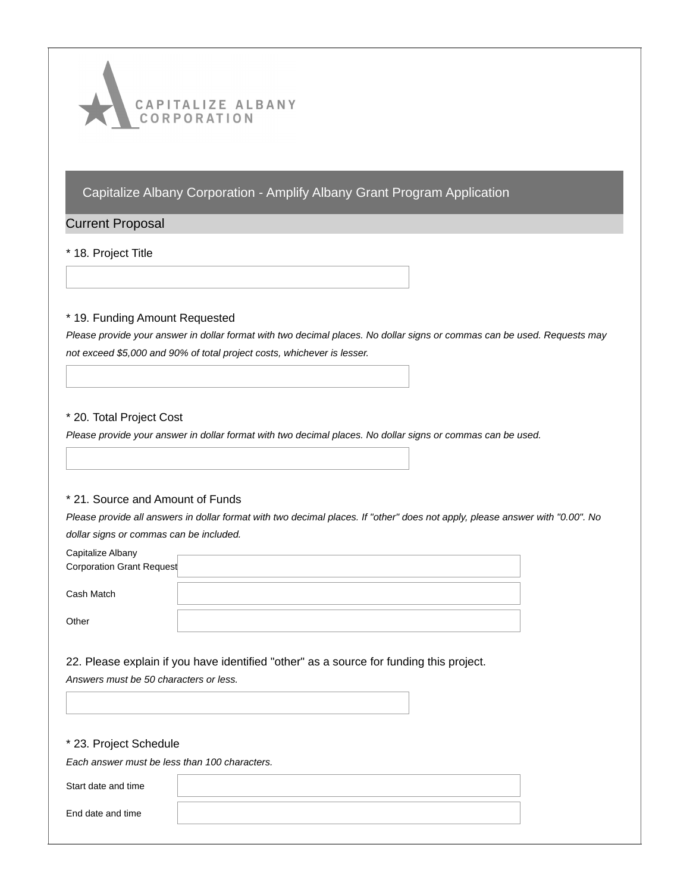

### Current Proposal

#### \* 18. Project Title

#### \* 19. Funding Amount Requested

Please provide your answer in dollar format with two decimal places. No dollar signs or commas can be used. Requests may *not exceed \$5,000 and 90% of total project costs, whichever is lesser.*

#### \* 20. Total Project Cost

Please provide your answer in dollar format with two decimal places. No dollar signs or commas can be used.

#### \* 21. Source and Amount of Funds

Please provide all answers in dollar format with two decimal places. If "other" does not apply, please answer with "0.00". No *dollar signs or commas can be included.*

| Capitalize Albany         |  |
|---------------------------|--|
| Corporation Grant Request |  |
|                           |  |
| Cash Match                |  |
|                           |  |
| Other                     |  |

22. Please explain if you have identified "other" as a source for funding this project.

*Answers must be 50 characters or less.*

#### \* 23. Project Schedule

*Each answer must be less than 100 characters.*

Start date and time

End date and time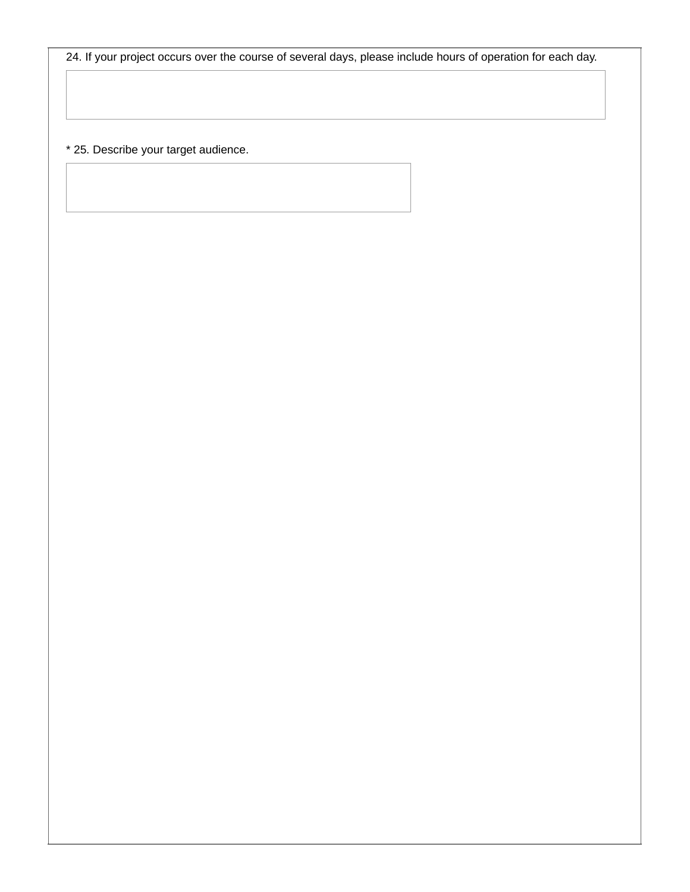24. If your project occurs over the course of several days, please include hours of operation for each day.

\* 25. Describe your target audience.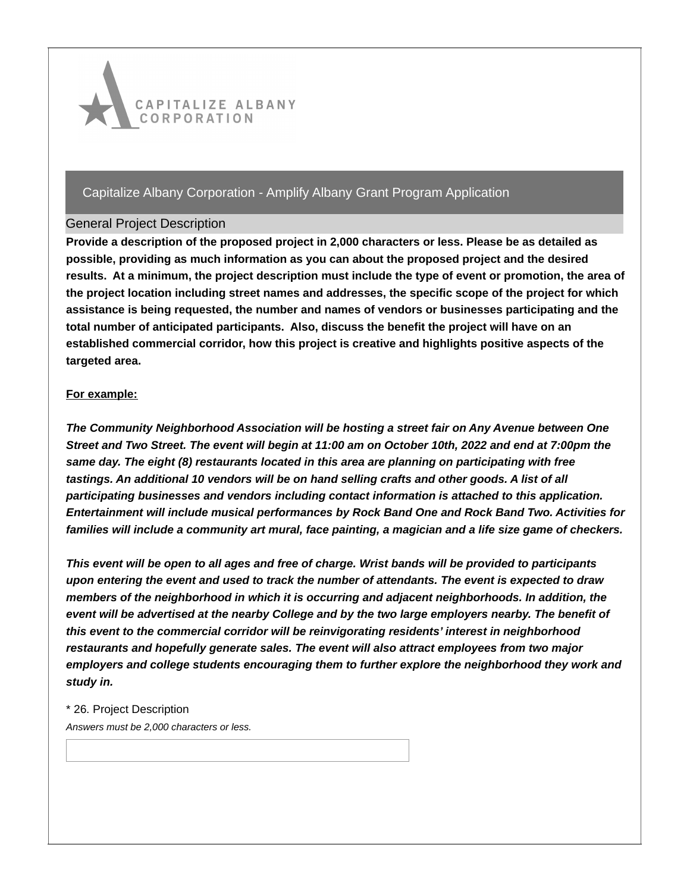

### General Project Description

**Provide a description of the proposed project in 2,000 characters or less. Please be as detailed as possible, providing as much information as you can about the proposed project and the desired** results. At a minimum, the project description must include the type of event or promotion, the area of **the project location including street names and addresses, the specific scope of the project for which assistance is being requested, the number and names of vendors or businesses participating and the total number of anticipated participants. Also, discuss the benefit the project will have on an established commercial corridor, how this project is creative and highlights positive aspects of the targeted area.**

### **For example:**

*The Community Neighborhood Association will be hosting a street fair on Any Avenue between One* Street and Two Street. The event will begin at 11:00 am on October 10th, 2022 and end at 7:00pm the *same day. The eight (8) restaurants located in this area are planning on participating with free tastings. An additional 10 vendors will be on hand selling crafts and other goods. A list of all participating businesses and vendors including contact information is attached to this application. Entertainment will include musical performances by Rock Band One and Rock Band Two. Activities for* families will include a community art mural, face painting, a magician and a life size game of checkers.

This event will be open to all ages and free of charge. Wrist bands will be provided to participants *upon entering the event and used to track the number of attendants. The event is expected to draw members of the neighborhood in which it is occurring and adjacent neighborhoods. In addition, the* event will be advertised at the nearby College and by the two large employers nearby. The benefit of *this event to the commercial corridor will be reinvigorating residents' interest in neighborhood restaurants and hopefully generate sales. The event will also attract employees from two major employers and college students encouraging them to further explore the neighborhood they work and study in.*

### \* 26. Project Description

*Answers must be 2,000 characters or less.*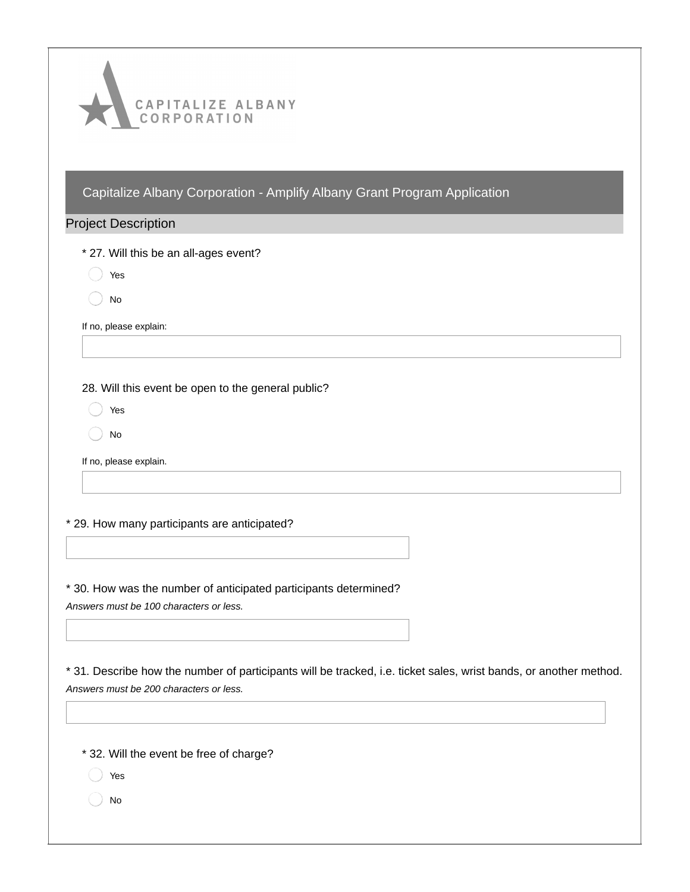

### Project Description

\* 27. Will this be an all-ages event?

Yes

No

If no, please explain:

28. Will this event be open to the general public?

Yes

No

If no, please explain.

\* 29. How many participants are anticipated?

\* 30. How was the number of anticipated participants determined? *Answers must be 100 characters or less.*

\* 31. Describe how the number of participants will be tracked, i.e. ticket sales, wrist bands, or another method. *Answers must be 200 characters or less.*

\* 32. Will the event be free of charge?

- Yes
- No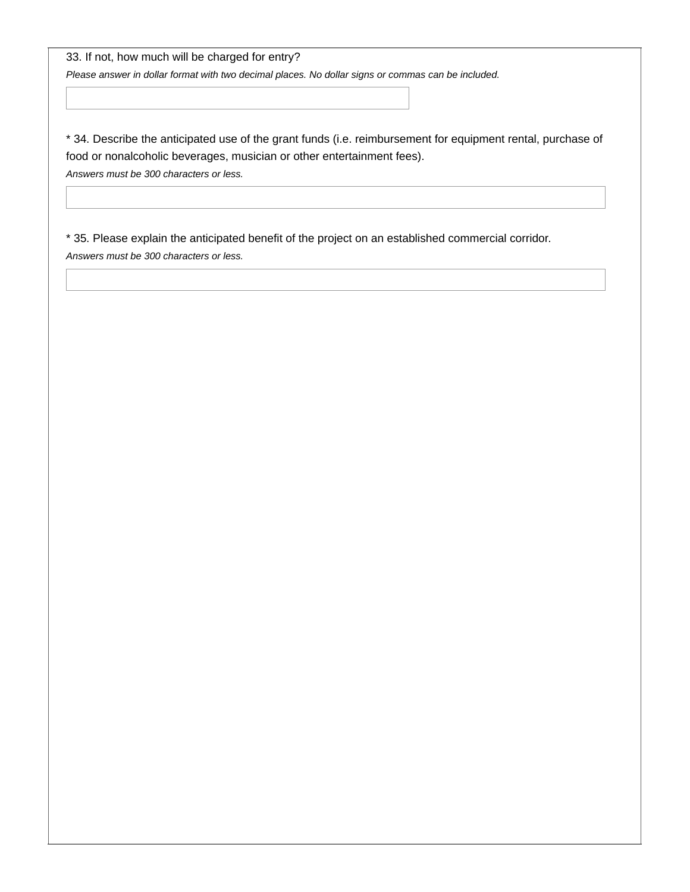33. If not, how much will be charged for entry?

*Please answer in dollar format with two decimal places. No dollar signs or commas can be included.*

\* 34. Describe the anticipated use of the grant funds (i.e. reimbursement for equipment rental, purchase of food or nonalcoholic beverages, musician or other entertainment fees).

*Answers must be 300 characters or less.*

\* 35. Please explain the anticipated benefit of the project on an established commercial corridor. *Answers must be 300 characters or less.*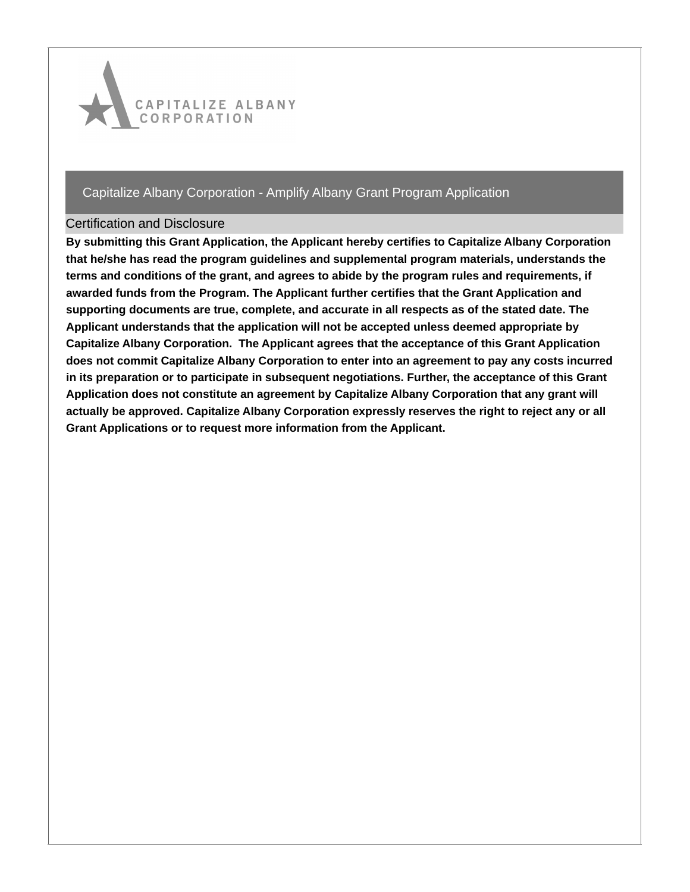

### Certification and Disclosure

**By submitting this Grant Application, the Applicant hereby certifies to Capitalize Albany Corporation that he/she has read the program guidelines and supplemental program materials, understands the terms and conditions of the grant, and agrees to abide by the program rules and requirements, if awarded funds from the Program. The Applicant further certifies that the Grant Application and supporting documents are true, complete, and accurate in all respects as of the stated date. The Applicant understands that the application will not be accepted unless deemed appropriate by Capitalize Albany Corporation. The Applicant agrees that the acceptance of this Grant Application does not commit Capitalize Albany Corporation to enter into an agreement to pay any costs incurred in its preparation or to participate in subsequent negotiations. Further, the acceptance of this Grant Application does not constitute an agreement by Capitalize Albany Corporation that any grant will actually be approved. Capitalize Albany Corporation expressly reserves the right to reject any or all Grant Applications or to request more information from the Applicant.**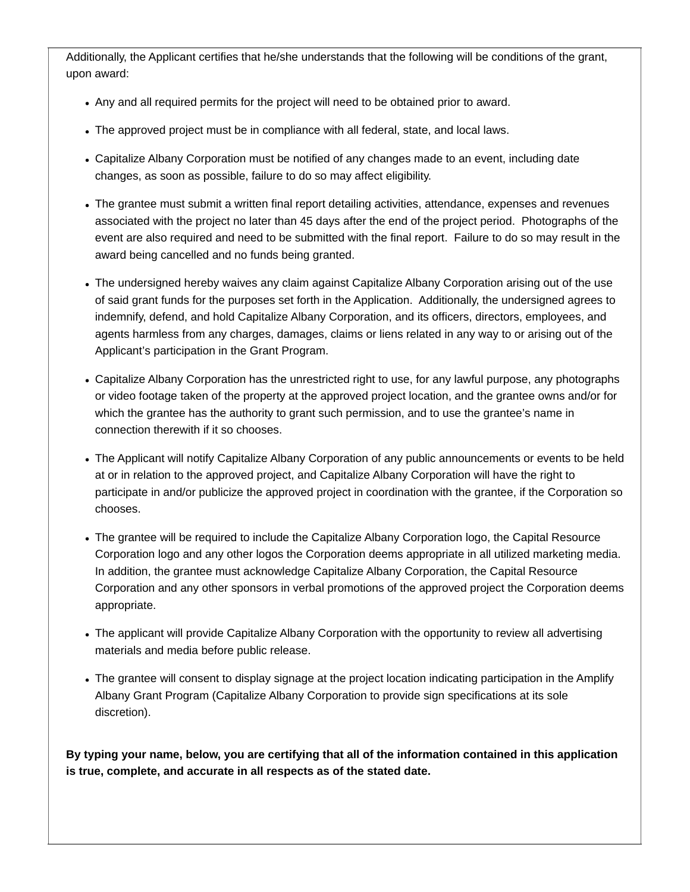Additionally, the Applicant certifies that he/she understands that the following will be conditions of the grant, upon award:

- Any and all required permits for the project will need to be obtained prior to award.
- The approved project must be in compliance with all federal, state, and local laws.
- Capitalize Albany Corporation must be notified of any changes made to an event, including date changes, as soon as possible, failure to do so may affect eligibility.
- The grantee must submit a written final report detailing activities, attendance, expenses and revenues associated with the project no later than 45 days after the end of the project period. Photographs of the event are also required and need to be submitted with the final report. Failure to do so may result in the award being cancelled and no funds being granted.
- The undersigned hereby waives any claim against Capitalize Albany Corporation arising out of the use of said grant funds for the purposes set forth in the Application. Additionally, the undersigned agrees to indemnify, defend, and hold Capitalize Albany Corporation, and its officers, directors, employees, and agents harmless from any charges, damages, claims or liens related in any way to or arising out of the Applicant's participation in the Grant Program.
- Capitalize Albany Corporation has the unrestricted right to use, for any lawful purpose, any photographs or video footage taken of the property at the approved project location, and the grantee owns and/or for which the grantee has the authority to grant such permission, and to use the grantee's name in connection therewith if it so chooses.
- The Applicant will notify Capitalize Albany Corporation of any public announcements or events to be held at or in relation to the approved project, and Capitalize Albany Corporation will have the right to participate in and/or publicize the approved project in coordination with the grantee, if the Corporation so chooses.
- The grantee will be required to include the Capitalize Albany Corporation logo, the Capital Resource Corporation logo and any other logos the Corporation deems appropriate in all utilized marketing media. In addition, the grantee must acknowledge Capitalize Albany Corporation, the Capital Resource Corporation and any other sponsors in verbal promotions of the approved project the Corporation deems appropriate.
- The applicant will provide Capitalize Albany Corporation with the opportunity to review all advertising materials and media before public release.
- The grantee will consent to display signage at the project location indicating participation in the Amplify Albany Grant Program (Capitalize Albany Corporation to provide sign specifications at its sole discretion).

**By typing your name, below, you are certifying that all of the information contained in this application is true, complete, and accurate in all respects as of the stated date.**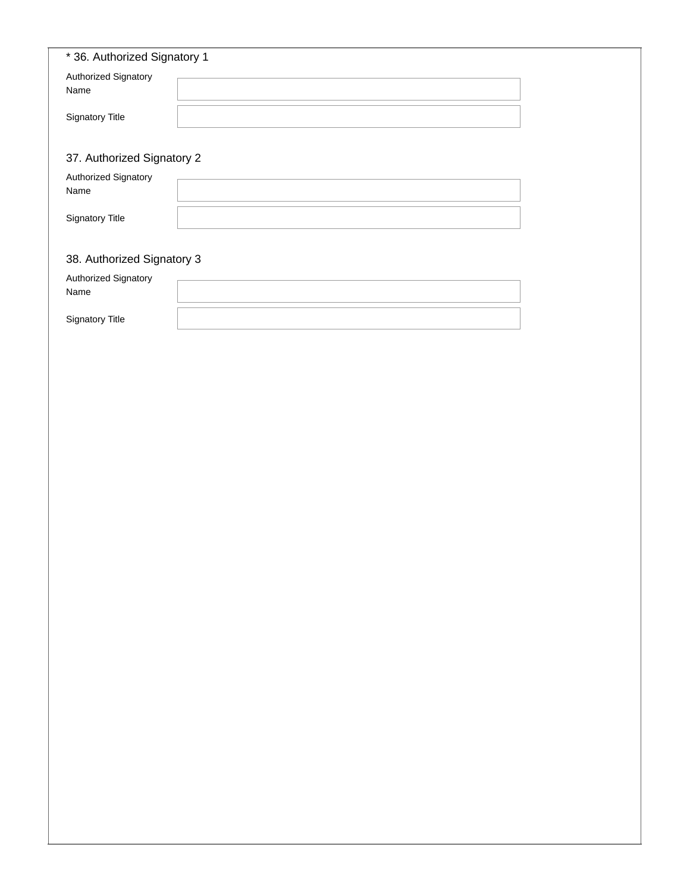| * 36. Authorized Signatory 1 |  |
|------------------------------|--|
| Authorized Signatory         |  |
| Name                         |  |
| Signatory Title              |  |
|                              |  |
| 37. Authorized Signatory 2   |  |
| Authorized Signatory         |  |
| Name                         |  |
| Signatory Title              |  |
|                              |  |
| 38. Authorized Signatory 3   |  |
| Authorized Signatory<br>Name |  |
|                              |  |
| Signatory Title              |  |
|                              |  |
|                              |  |
|                              |  |
|                              |  |
|                              |  |
|                              |  |
|                              |  |
|                              |  |
|                              |  |
|                              |  |
|                              |  |
|                              |  |
|                              |  |
|                              |  |
|                              |  |
|                              |  |
|                              |  |
|                              |  |
|                              |  |
|                              |  |
|                              |  |